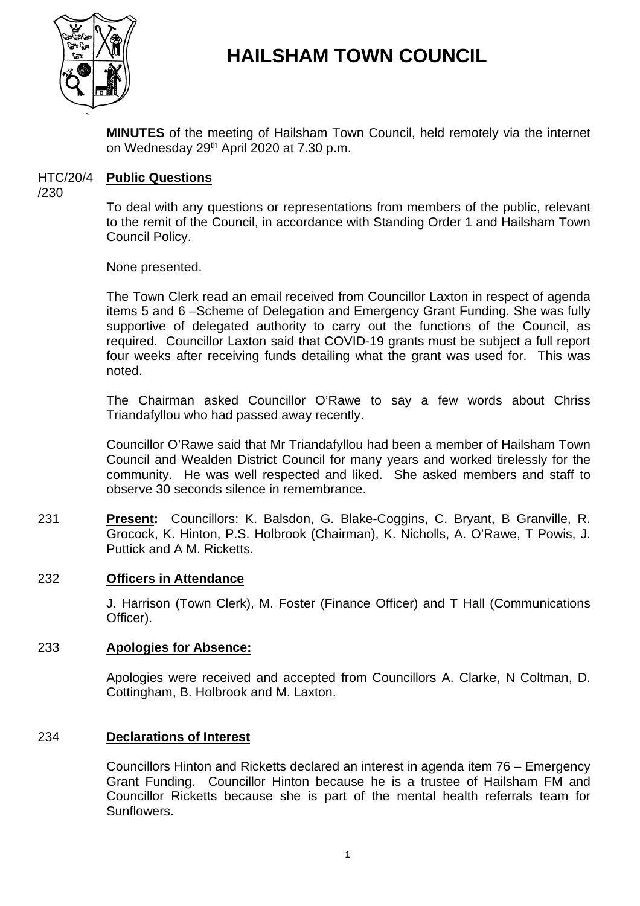

# **HAILSHAM TOWN COUNCIL**

**MINUTES** of the meeting of Hailsham Town Council, held remotely via the internet on Wednesday 29<sup>th</sup> April 2020 at 7.30 p.m.

#### HTC/20/4 **Public Questions**

/230

To deal with any questions or representations from members of the public, relevant to the remit of the Council, in accordance with Standing Order 1 and Hailsham Town Council Policy.

None presented.

The Town Clerk read an email received from Councillor Laxton in respect of agenda items 5 and 6 –Scheme of Delegation and Emergency Grant Funding. She was fully supportive of delegated authority to carry out the functions of the Council, as required. Councillor Laxton said that COVID-19 grants must be subject a full report four weeks after receiving funds detailing what the grant was used for. This was noted.

The Chairman asked Councillor O'Rawe to say a few words about Chriss Triandafyllou who had passed away recently.

Councillor O'Rawe said that Mr Triandafyllou had been a member of Hailsham Town Council and Wealden District Council for many years and worked tirelessly for the community. He was well respected and liked. She asked members and staff to observe 30 seconds silence in remembrance.

231 **Present:** Councillors: K. Balsdon, G. Blake-Coggins, C. Bryant, B Granville, R. Grocock, K. Hinton, P.S. Holbrook (Chairman), K. Nicholls, A. O'Rawe, T Powis, J. Puttick and A M. Ricketts.

### 232 **Officers in Attendance**

J. Harrison (Town Clerk), M. Foster (Finance Officer) and T Hall (Communications Officer).

### 233 **Apologies for Absence:**

Apologies were received and accepted from Councillors A. Clarke, N Coltman, D. Cottingham, B. Holbrook and M. Laxton.

### 234 **Declarations of Interest**

Councillors Hinton and Ricketts declared an interest in agenda item 76 – Emergency Grant Funding. Councillor Hinton because he is a trustee of Hailsham FM and Councillor Ricketts because she is part of the mental health referrals team for Sunflowers.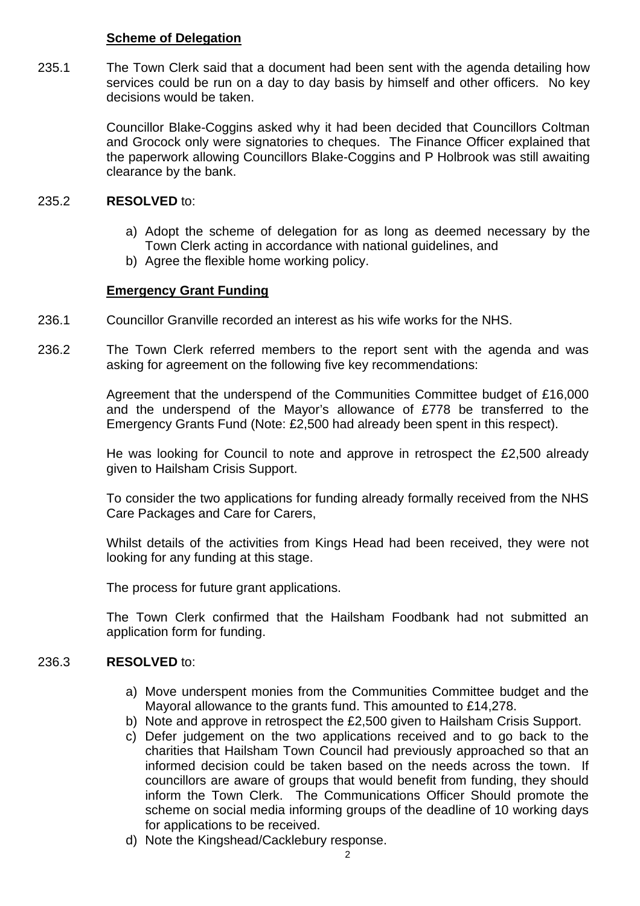### **Scheme of Delegation**

235.1 The Town Clerk said that a document had been sent with the agenda detailing how services could be run on a day to day basis by himself and other officers. No key decisions would be taken.

> Councillor Blake-Coggins asked why it had been decided that Councillors Coltman and Grocock only were signatories to cheques. The Finance Officer explained that the paperwork allowing Councillors Blake-Coggins and P Holbrook was still awaiting clearance by the bank.

#### 235.2 **RESOLVED** to:

- a) Adopt the scheme of delegation for as long as deemed necessary by the Town Clerk acting in accordance with national guidelines, and
- b) Agree the flexible home working policy.

# **Emergency Grant Funding**

- 236.1 Councillor Granville recorded an interest as his wife works for the NHS.
- 236.2 The Town Clerk referred members to the report sent with the agenda and was asking for agreement on the following five key recommendations:

Agreement that the underspend of the Communities Committee budget of £16,000 and the underspend of the Mayor's allowance of £778 be transferred to the Emergency Grants Fund (Note: £2,500 had already been spent in this respect).

He was looking for Council to note and approve in retrospect the £2,500 already given to Hailsham Crisis Support.

To consider the two applications for funding already formally received from the NHS Care Packages and Care for Carers,

Whilst details of the activities from Kings Head had been received, they were not looking for any funding at this stage.

The process for future grant applications.

The Town Clerk confirmed that the Hailsham Foodbank had not submitted an application form for funding.

#### 236.3 **RESOLVED** to:

- a) Move underspent monies from the Communities Committee budget and the Mayoral allowance to the grants fund. This amounted to £14,278.
- b) Note and approve in retrospect the £2,500 given to Hailsham Crisis Support.
- c) Defer judgement on the two applications received and to go back to the charities that Hailsham Town Council had previously approached so that an informed decision could be taken based on the needs across the town. If councillors are aware of groups that would benefit from funding, they should inform the Town Clerk. The Communications Officer Should promote the scheme on social media informing groups of the deadline of 10 working days for applications to be received.
- d) Note the Kingshead/Cacklebury response.